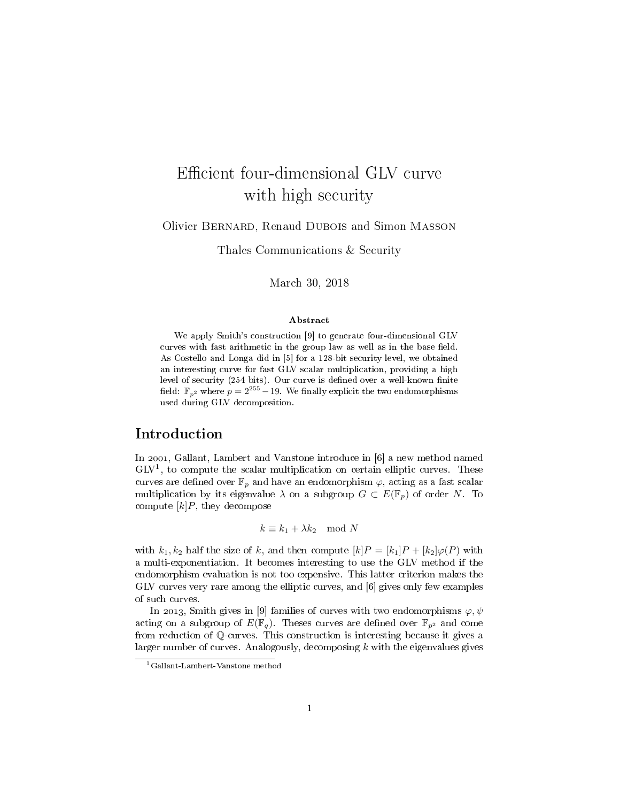## Efficient four-dimensional GLV curve with high security

Olivier Bernard, Renaud Dubois and Simon Masson

Thales Communications & Security

March 30, 2018

#### Abstract

We apply Smith's construction [\[9\]](#page-13-0) to generate four-dimensional GLV curves with fast arithmetic in the group law as well as in the base field. As Costello and Longa did in [\[5\]](#page-12-0) for a 128-bit security level, we obtained an interesting curve for fast GLV scalar multiplication, providing a high level of security (254 bits). Our curve is defined over a well-known finite field:  $\mathbb{F}_{p^2}$  where  $p = 2^{255} - 19$ . We finally explicit the two endomorphisms used during GLV decomposition.

## Introduction

In 2001, Gallant, Lambert and Vanstone introduce in [\[6\]](#page-12-1) a new method named GLV<sup>[1](#page-0-0)</sup>, to compute the scalar multiplication on certain elliptic curves. These curves are defined over  $\mathbb{F}_p$  and have an endomorphism  $\varphi$ , acting as a fast scalar multiplication by its eigenvalue  $\lambda$  on a subgroup  $G \subset E(\mathbb{F}_p)$  of order N. To compute  $[k]P$ , they decompose

 $k \equiv k_1 + \lambda k_2 \mod N$ 

with  $k_1, k_2$  half the size of k, and then compute  $[k]P = [k_1]P + [k_2]\varphi(P)$  with a multi-exponentiation. It becomes interesting to use the GLV method if the endomorphism evaluation is not too expensive. This latter criterion makes the GLV curves very rare among the elliptic curves, and [\[6\]](#page-12-1) gives only few examples of such curves.

In 2013, Smith gives in [\[9\]](#page-13-0) families of curves with two endomorphisms  $\varphi, \psi$ acting on a subgroup of  $E(\mathbb{F}_q)$ . Theses curves are defined over  $\mathbb{F}_{p^2}$  and come from reduction of Q-curves. This construction is interesting because it gives a larger number of curves. Analogously, decomposing  $k$  with the eigenvalues gives

<span id="page-0-0"></span><sup>1</sup>Gallant-Lambert-Vanstone method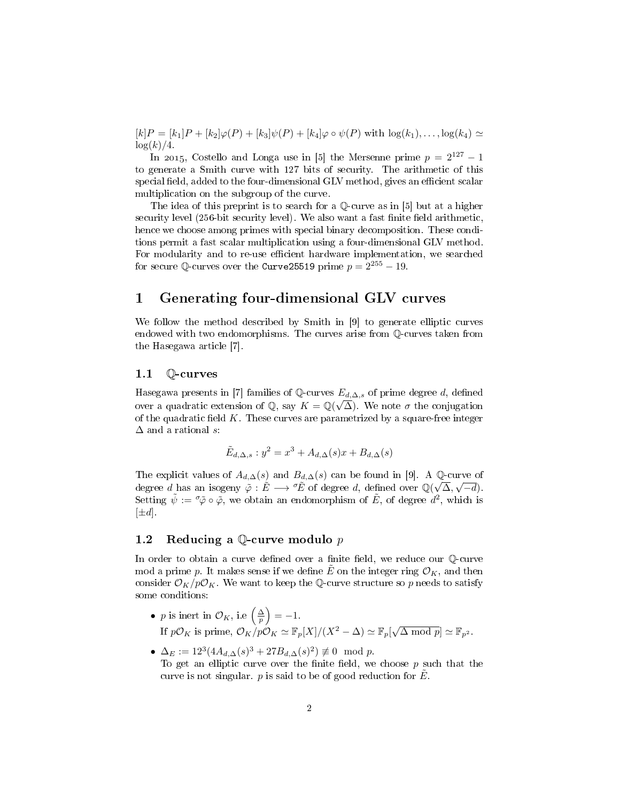$[k]P = [k_1]P + [k_2]\varphi(P) + [k_3]\psi(P) + [k_4]\varphi \circ \psi(P)$  with  $\log(k_1), \ldots, \log(k_4) \simeq$  $\log(k)/4$ .

In 2015, Costello and Longa use in [\[5\]](#page-12-0) the Mersenne prime  $p = 2^{127} - 1$ to generate a Smith curve with 127 bits of security. The arithmetic of this special field, added to the four-dimensional GLV method, gives an efficient scalar multiplication on the subgroup of the curve.

The idea of this preprint is to search for a Q-curve as in [\[5\]](#page-12-0) but at a higher security level  $(256$ -bit security level). We also want a fast finite field arithmetic, hence we choose among primes with special binary decomposition. These conditions permit a fast scalar multiplication using a four-dimensional GLV method. For modularity and to re-use efficient hardware implementation, we searched for secure  $\mathbb{Q}$ -curves over the Curve25519 prime  $p = 2^{255} - 19$ .

## 1 Generating four-dimensional GLV curves

We follow the method described by Smith in [\[9\]](#page-13-0) to generate elliptic curves endowed with two endomorphisms. The curves arise from Q-curves taken from the Hasegawa article [\[7\]](#page-12-2).

## 1.1 Q-curves

Hasegawa presents in [\[7\]](#page-12-2) families of  $\mathbb{Q}$ -curves  $E_{d,\Delta,s}$  of prime degree d, defined over a quadratic extension of Q, say  $K = \mathbb{Q}(\sqrt{\Delta})$ . We note  $\sigma$  the conjugation of the quadratic field  $K$ . These curves are parametrized by a square-free integer  $\Delta$  and a rational s:

$$
\tilde{E}_{d,\Delta,s}: y^2 = x^3 + A_{d,\Delta}(s)x + B_{d,\Delta}(s)
$$

The explicit values of  $A_{d,\Delta}(s)$  and  $B_{d,\Delta}(s)$  can be found in [\[9\]](#page-13-0). A Q-curve of degree d has an isogeny  $\tilde{\varphi}: \tilde{E} \longrightarrow {}^{\sigma}\tilde{E}$  of degree d, defined over  $\mathbb{Q}(\sqrt{\Delta}, \sqrt{-d})$ . Setting  $\tilde{\psi} := \tilde{\varphi} \circ \tilde{\varphi}$ , we obtain an endomorphism of  $E$ , of degree  $d^2$ , which is  $[\pm d]$ .

## 1.2 Reducing a  $\mathbb Q$ -curve modulo p

In order to obtain a curve defined over a finite field, we reduce our  $\mathbb Q$ -curve mod a prime p. It makes sense if we define  $\tilde{E}$  on the integer ring  $\mathcal{O}_K$ , and then consider  $\mathcal{O}_K/p\mathcal{O}_K$ . We want to keep the Q-curve structure so p needs to satisfy some conditions:

- *p* is inert in  $\mathcal{O}_K$ , i.e  $\left(\frac{\Delta}{p}\right) = -1$ . If  $p\mathcal{O}_K$  is prime,  $\mathcal{O}_K/p\mathcal{O}_K \simeq \mathbb{F}_p[X]/(X^2 - \Delta) \simeq \mathbb{F}_p[\sqrt{\Delta \mod p}] \simeq \mathbb{F}_{p^2}$ .
- $\Delta_E := 12^3 (4A_{d,\Delta}(s)^3 + 27B_{d,\Delta}(s)^2) \not\equiv 0 \mod p.$ To get an elliptic curve over the finite field, we choose  $p$  such that the curve is not singular. p is said to be of good reduction for  $E$ .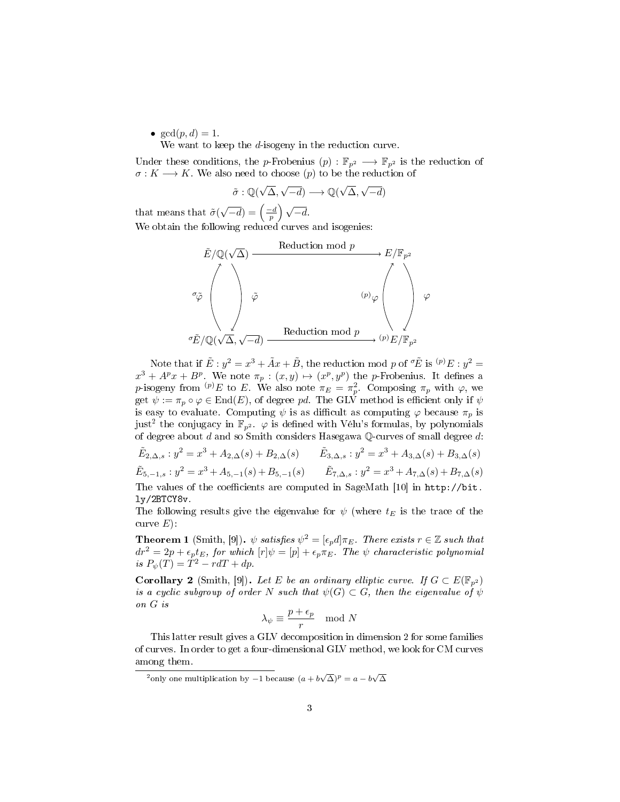•  $gcd(p, d) = 1$ .

We want to keep the d-isogeny in the reduction curve.

Under these conditions, the p-Frobenius  $(p): \mathbb{F}_{p^2} \longrightarrow \mathbb{F}_{p^2}$  is the reduction of  $\sigma: K \longrightarrow K$ . We also need to choose (p) to be the reduction of

$$
\tilde{\sigma} : \mathbb{Q}(\sqrt{\Delta}, \sqrt{-d}) \longrightarrow \mathbb{Q}(\sqrt{\Delta}, \sqrt{-d})
$$

that means that  $\tilde{\sigma}$ (  $\sqrt{-d}$ ) =  $\left(\frac{-d}{p}\right)\sqrt{-d}$ . We obtain the following reduced curves and isogenies:



Note that if  $\tilde{E}: y^2 = x^3 + \tilde{A}x + \tilde{B}$ , the reduction mod p of  ${}^{\sigma}\tilde{E}$  is  ${}^{(p)}E: y^2 =$  $x^3 + A^p x + B^p$ . We note  $\pi_p : (x, y) \mapsto (x^p, y^p)$  the p-Frobenius. It defines a p-isogeny from  $(P)E$  to E. We also note  $\pi_E = \pi_p^2$ . Composing  $\pi_p$  with  $\varphi$ , we get  $\psi := \pi_p \circ \varphi \in \text{End}(E)$ , of degree pd. The GLV method is efficient only if  $\psi$ is easy to evaluate. Computing  $\psi$  is as difficult as computing  $\varphi$  because  $\pi_p$  is just<sup>[2](#page-2-0)</sup> the conjugacy in  $\mathbb{F}_{p^2}$ .  $\varphi$  is defined with Vélu's formulas, by polynomials of degree about  $d$  and so Smith considers Hasegawa Q-curves of small degree  $d$ :

$$
\tilde{E}_{2,\Delta,s}: y^2 = x^3 + A_{2,\Delta}(s) + B_{2,\Delta}(s) \qquad \tilde{E}_{3,\Delta,s}: y^2 = x^3 + A_{3,\Delta}(s) + B_{3,\Delta}(s)
$$
\n
$$
\tilde{E}_{5,-1,s}: y^2 = x^3 + A_{5,-1}(s) + B_{5,-1}(s) \qquad \tilde{E}_{7,\Delta,s}: y^2 = x^3 + A_{7,\Delta}(s) + B_{7,\Delta}(s)
$$
\nThe values of the coefficients are computed in SageMath [10] in <http://bit.1y/2BTCY8v>.

The following results give the eigenvalue for  $\psi$  (where  $t_E$  is the trace of the curve  $E$ ):

**Theorem 1** (Smith, [\[9\]](#page-13-0)).  $\psi$  satisfies  $\psi^2 = [\epsilon_p d] \pi_E$ . There exists  $r \in \mathbb{Z}$  such that  $dr^2 = 2p + \epsilon_p t_E$ , for which  $[r]\psi = [p] + \epsilon_p \pi_E$ . The  $\psi$  characteristic polynomial is  $P_{\psi}(T) = T^2 - r dT + dp$ .

**Corollary 2** (Smith, [\[9\]](#page-13-0)). Let E be an ordinary elliptic curve. If  $G \subset E(\mathbb{F}_{p^2})$ is a cyclic subgroup of order N such that  $\psi(G) \subset G$ , then the eigenvalue of  $\psi$ on G is

$$
\lambda_{\psi} \equiv \frac{p + \epsilon_p}{r} \mod N
$$

This latter result gives a GLV decomposition in dimension 2 for some families of curves. In order to get a four-dimensional GLV method, we look for CM curves among them.

<span id="page-2-0"></span> $\frac{1}{2}$ only one multiplication by -1 because  $(a + b\sqrt{\Delta})^p = a - b\sqrt{\Delta}$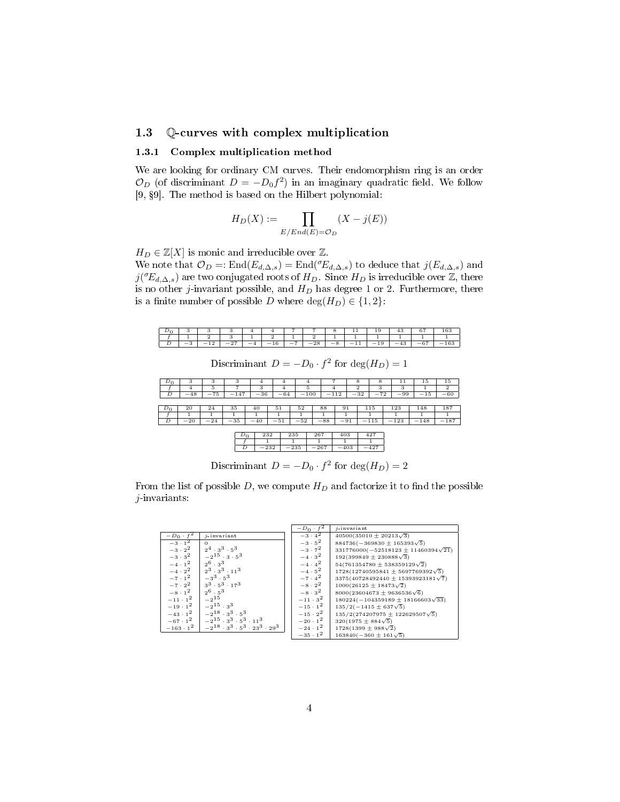## 1.3 Q-curves with complex multiplication

#### 1.3.1 Complex multiplication method

We are looking for ordinary CM curves. Their endomorphism ring is an order  $\mathcal{O}_D$  (of discriminant  $D = -D_0 f^2$ ) in an imaginary quadratic field. We follow [\[9,](#page-13-0) 9]. The method is based on the Hilbert polynomial:

$$
H_D(X) := \prod_{E/End(E) = \mathcal{O}_D} (X - j(E))
$$

 $H_D \in \mathbb{Z}[X]$  is monic and irreducible over  $\mathbb{Z}$ .

We note that  $\mathcal{O}_D =: \text{End}(E_{d,\Delta,s}) = \text{End}(\mathcal{C}_{d,\Delta,s})$  to deduce that  $j(E_{d,\Delta,s})$  and  $j({^\sigma}\!E_{d,\Delta,s})$  are two conjugated roots of  $H_D.$  Since  $H_D$  is irreducible over  $\mathbb Z,$  there is no other j-invariant possible, and  $H_D$  has degree 1 or 2. Furthermore, there is a finite number of possible D where  $\deg(H_D) \in \{1,2\}$ :



Discriminant  $D = -D_0 \cdot f^2$  for  $\deg(H_D) = 1$ 



Discriminant  $D = -D_0 \cdot f^2$  for  $\deg(H_D) = 2$ 

From the list of possible D, we compute  $H_D$  and factorize it to find the possible j-invariants:

|                  |                                                     | $-D_0 \cdot f^2$ | $i$ -invariant                               |
|------------------|-----------------------------------------------------|------------------|----------------------------------------------|
| $-D_0 \cdot f^2$ | $i$ -invariant                                      | $-3 \cdot 4^2$   | $40500(35010 \pm 20213\sqrt{3})$             |
| $-3 \cdot 1^2$   | $\Omega$                                            | $-3 \cdot 5^2$   | $884736(-369830 \pm 165393\sqrt{5})$         |
| $-3\cdot 2^2$    | $2^4 \cdot 3^3 \cdot 5^3$                           | $-3 \cdot 7^2$   | $331776000(-52518123 \pm 11460394\sqrt{21})$ |
| $-3 \cdot 3^2$   | $-2^{15} \cdot 3 \cdot 5^3$                         | $-4 \cdot 3^2$   | $192(399849 \pm 230888\sqrt{3})$             |
| $-4 \cdot 1^2$   | $2^6 \cdot 3^3$                                     | $-4 \cdot 4^2$   | $54(761354780 \pm 538359129\sqrt{2})$        |
| $-4 \cdot 2^2$   | $2^3 \cdot 3^3 \cdot 11^3$                          | $-4 \cdot 5^2$   | $1728(12740595841 \pm 5697769392\sqrt{5})$   |
| $-7 \cdot 1^2$   | $\left[-3^{3}\right]$ $5^{3}$                       | $-7 \cdot 4^2$   | $3375(40728492440 \pm 15393923181\sqrt{7})$  |
| $-7 \cdot 2^2$   | $3^3 \cdot 5^3 \cdot 17^3$                          | $-8 \cdot 2^2$   | $1000(26125 \pm 18473\sqrt{2})$              |
| $-8 \cdot 1^2$   | $2^6 \cdot 5^3$                                     | $-8\cdot 3^2$    | $8000(23604673 \pm 9636536\sqrt{6})$         |
| $-11 \cdot 1^2$  | $-2^{15}$                                           | $-11 \cdot 3^2$  | $180224(-104359189 \pm 18166603\sqrt{33})$   |
| $-19 \cdot 1^2$  | $-2^{15} \cdot 3^3$                                 | $-15 \cdot 1^2$  | $135/2(-1415 \pm 637\sqrt{5})$               |
| $-43 \cdot 1^2$  | $-2^{18} \cdot 3^3 \cdot 5^3$                       | $-15 \cdot 2^2$  | $135/2(274207975 \pm 122629507\sqrt{5})$     |
| $-67 \cdot 1^2$  | $-2^{15} \cdot 3^3 \cdot 5^3 \cdot 11^3$            | $-20 \cdot 1^2$  | $320(1975 \pm 884\sqrt{5})$                  |
| $-163 \cdot 1^2$ | $-2^{18} \cdot 3^3 \cdot 5^3 \cdot 23^3 \cdot 29^3$ | $-24 \cdot 1^2$  | $1728(1399 \pm 988\sqrt{2})$                 |
|                  |                                                     | $-35 \cdot 1^2$  | $163840(-360 \pm 161\sqrt{5})$               |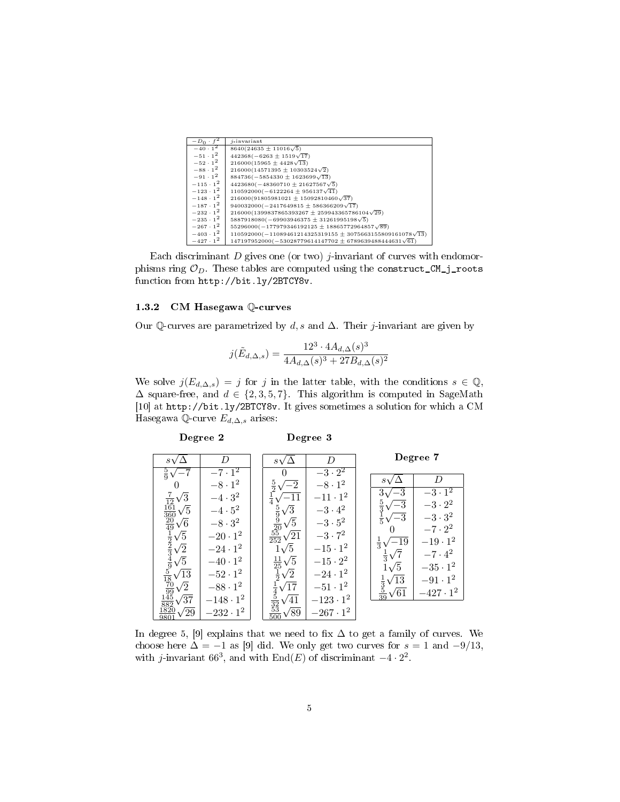| $-D_0 \cdot f$   | $i$ -invariant                                                      |
|------------------|---------------------------------------------------------------------|
| $-40 \cdot 1^2$  | $8640(24635 \pm 11016\sqrt{5})$                                     |
| $-51 \cdot 1^2$  | $442368(-6263 \pm 1519\sqrt{17})$                                   |
| $-52 \cdot 1^2$  | $216000(15965 \pm 4428\sqrt{13})$                                   |
| $-88 \cdot 1^2$  | $216000(14571395 \pm 10303524\sqrt{2})$                             |
| $-91 \cdot 1^2$  | $884736(-5854330 \pm 1623699\sqrt{13})$                             |
| $-115 \cdot 1^2$ | $4423680(-48360710 \pm 21627567\sqrt{5})$                           |
| $-123 \cdot 1^2$ | $110592000(-6122264 \pm 956137\sqrt{41})$                           |
| $-148 \cdot 1^2$ | $216000(91805981021 \pm 15092810460\sqrt{37})$                      |
| $-187 \cdot 1^2$ | $940032000(-2417649815 \pm 586366209\sqrt{17})$                     |
| $-232 \cdot 1^2$ | $216000(1399837865393267 \pm 259943365786104\sqrt{29})$             |
| $-235 \cdot 1^2$ | $5887918080(-69903946375 \pm 31261995198\sqrt{5})$                  |
| $-267 \cdot 1^2$ | $55296000(-177979346192125 \pm 18865772964857\sqrt{89})$            |
| $-403 \cdot 1^2$ | $110592000(-11089461214325319155 \pm 3075663155809161078\sqrt{13})$ |
| $-427 \cdot 1^2$ | $147197952000(-53028779614147702 \pm 6789639488444631\sqrt{61})$    |

Each discriminant  $D$  gives one (or two) *j*-invariant of curves with endomorphisms ring  $\mathcal{O}_D$ . These tables are computed using the construct\_CM\_j\_roots function from [http://bit.ly/2BTCY8v.](http://bit.ly/2BTCY8v)

#### 1.3.2 CM Hasegawa Q-curves

Degree 2

Our Q-curves are parametrized by d, s and  $\Delta$ . Their j-invariant are given by

$$
j(\tilde{E}_{d,\Delta,s}) = \frac{12^3 \cdot 4A_{d,\Delta}(s)^3}{4A_{d,\Delta}(s)^3 + 27B_{d,\Delta}(s)^2}
$$

We solve  $j(E_{d,\Delta,s}) = j$  for j in the latter table, with the conditions  $s \in \mathbb{Q}$ ,  $\Delta$  square-free, and  $d \in \{2, 3, 5, 7\}$ . This algorithm is computed in SageMath [\[10\]](#page-13-1) at [http://bit.ly/2BTCY8v.](http://bit.ly/2BTCY8v) It gives sometimes a solution for which a CM Hasegawa Q-curve  $E_{d,\Delta,s}$  arises:

Degree 3

|                                                                                                                                                                                                                                                                                                                                      | D                       | $s_{\lambda}$                               | D                |                                            | Degree 7                |
|--------------------------------------------------------------------------------------------------------------------------------------------------------------------------------------------------------------------------------------------------------------------------------------------------------------------------------------|-------------------------|---------------------------------------------|------------------|--------------------------------------------|-------------------------|
| $rac{5}{9}$ v                                                                                                                                                                                                                                                                                                                        | $-7\cdot\overline{1^2}$ | 0                                           | $-3\cdot 2^2$    |                                            |                         |
| 0                                                                                                                                                                                                                                                                                                                                    | $-8 \cdot 1^2$          | $\frac{5}{2}$<br>$\sqrt{-2}$                | $-8\cdot1^2$     |                                            | D                       |
| $rac{7}{12}$<br>$rac{12}{161}$<br>$\sqrt{3}$                                                                                                                                                                                                                                                                                         | $-4 \cdot 3^2$          |                                             | $-11 \cdot 1^2$  | -3<br>3,                                   | $-3\cdot\overline{1^2}$ |
| $\sqrt{5}$                                                                                                                                                                                                                                                                                                                           | $-4\cdot 5^2$           | $\sqrt{3}$                                  | $-3\cdot 4^2$    | $\frac{5}{3}$<br>$-3$                      | $-3 \cdot 2^2$          |
| $\sqrt{6}$                                                                                                                                                                                                                                                                                                                           | $-8\cdot 3^2$           | $rac{5}{9}$<br>$rac{9}{20}$<br>$\sqrt{5}$   | $-3\cdot 5^2$    | $-3$<br>$\frac{1}{5}$                      | $-3\cdot 3^2$           |
| $\sqrt{5}$                                                                                                                                                                                                                                                                                                                           | $-20 \cdot 1^2$         | $rac{55}{252}\sqrt{21}$                     | $-3 \cdot 7^2$   |                                            | $-7 \cdot 2^2$          |
| $\frac{360}{49}$ $\frac{20}{49}$ $\frac{1}{2}$ $\frac{2}{3}$ $\frac{3}{2}$ $\frac{3}{2}$ $\frac{3}{2}$ $\frac{3}{2}$ $\frac{3}{2}$ $\frac{3}{2}$ $\frac{3}{2}$ $\frac{3}{2}$ $\frac{3}{2}$ $\frac{3}{2}$ $\frac{3}{2}$ $\frac{3}{2}$ $\frac{3}{2}$ $\frac{3}{2}$ $\frac{3}{2}$ $\frac{3}{2}$ $\frac{3}{2}$ $\frac{3}{$<br>$\sqrt{2}$ | $-24 \cdot 1^2$         | $1\sqrt{5}$                                 | $-15 \cdot 1^2$  | $\overline{-19}$<br>$\frac{1}{3}$          | $-19 \cdot 1^2$         |
| $\sqrt{5}$                                                                                                                                                                                                                                                                                                                           | $-40 \cdot 1^2$         | $\sqrt{5}$                                  | $-15 \cdot 2^2$  | $\frac{1}{3}$                              | $-7 \cdot 4^2$          |
| $^\prime 13$                                                                                                                                                                                                                                                                                                                         | $-52 \cdot 1^2$         | $\frac{11}{25}$<br>$\sqrt{2}$               | $-24 \cdot 1^2$  | $1\sqrt{5}$                                | $-35\cdot1^2$           |
| $\sqrt{2}$                                                                                                                                                                                                                                                                                                                           | $-88\cdot1^2$           | /17                                         | $-51 \cdot 1^2$  | $\sqrt{13}$                                | $-91 \cdot 1^2$         |
| $\overline{\frac{99}{45}}$                                                                                                                                                                                                                                                                                                           |                         | $rac{1}{4}$<br>$rac{4}{32}$<br>$rac{5}{33}$ |                  | $rac{1}{3}$<br>$rac{3}{39}$<br>$\sqrt{61}$ | $-427 \cdot 1^2$        |
| ′37                                                                                                                                                                                                                                                                                                                                  | $-148 \cdot 1^2$        | ′41                                         | $-123 \cdot 1^2$ |                                            |                         |
| ′29<br>9801                                                                                                                                                                                                                                                                                                                          | $-232 \cdot 1^2$        | $\sqrt{89}$<br>500                          | $-267 \cdot 1^2$ |                                            |                         |

In degree 5, [\[9\]](#page-13-0) explains that we need to fix  $\Delta$  to get a family of curves. We choose here  $\Delta = -1$  as [\[9\]](#page-13-0) did. We only get two curves for  $s = 1$  and  $-9/13$ , with j-invariant 66<sup>3</sup>, and with End(E) of discriminant  $-4 \cdot 2^2$ .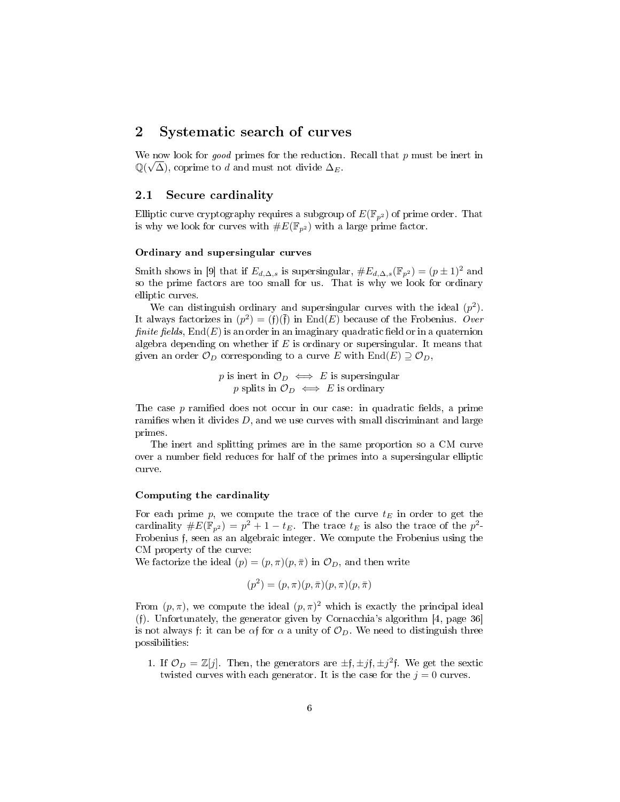## 2 Systematic search of curves

We now look for *good* primes for the reduction. Recall that p must be inert in  $\mathbb{Q}(\sqrt{\Delta})$ , coprime to d and must not divide  $\Delta_E$ .

## 2.1 Secure cardinality

Elliptic curve cryptography requires a subgroup of  $E(\mathbb{F}_{p^2})$  of prime order. That is why we look for curves with  $\#E(\mathbb{F}_{p^2})$  with a large prime factor.

#### Ordinary and supersingular curves

Smith shows in [\[9\]](#page-13-0) that if  $E_{d,\Delta,s}$  is supersingular,  $\#E_{d,\Delta,s}(\mathbb{F}_{p^2}) = (p \pm 1)^2$  and so the prime factors are too small for us. That is why we look for ordinary elliptic curves.

We can distinguish ordinary and supersingular curves with the ideal  $(p^2)$ . It always factorizes in  $(p^2) = (f)(\overline{f})$  in End(E) because of the Frobenius. Over finite fields,  $End(E)$  is an order in an imaginary quadratic field or in a quaternion algebra depending on whether if  $E$  is ordinary or supersingular. It means that given an order  $\mathcal{O}_D$  corresponding to a curve E with End $(E) \supseteq \mathcal{O}_D$ ,

> p is inert in  $\mathcal{O}_D \iff E$  is supersingular p splits in  $\mathcal{O}_D \iff E$  is ordinary

The case  $p$  ramified does not occur in our case: in quadratic fields, a prime ramifies when it divides  $D$ , and we use curves with small discriminant and large primes.

The inert and splitting primes are in the same proportion so a CM curve over a number field reduces for half of the primes into a supersingular elliptic curve.

#### Computing the cardinality

For each prime p, we compute the trace of the curve  $t_E$  in order to get the cardinality  $\#E(\mathbb{F}_{p^2}) = p^2 + 1 - t_E$ . The trace  $t_E$  is also the trace of the  $p^2$ -Frobenius f, seen as an algebraic integer. We compute the Frobenius using the CM property of the curve:

We factorize the ideal  $(p) = (p, \pi)(p, \bar{\pi})$  in  $\mathcal{O}_D$ , and then write

$$
(p^2) = (p, \pi)(p, \bar{\pi})(p, \pi)(p, \bar{\pi})
$$

From  $(p, \pi)$ , we compute the ideal  $(p, \pi)^2$  which is exactly the principal ideal (f). Unfortunately, the generator given by Cornacchia's algorithm [\[4,](#page-12-3) page 36] is not always f: it can be  $\alpha$ f for  $\alpha$  a unity of  $\mathcal{O}_D$ . We need to distinguish three possibilities:

1. If  $\mathcal{O}_D = \mathbb{Z}[j]$ . Then, the generators are  $\pm \mathfrak{f}, \pm j\mathfrak{f}, \pm j^2\mathfrak{f}$ . We get the sextic twisted curves with each generator. It is the case for the  $j = 0$  curves.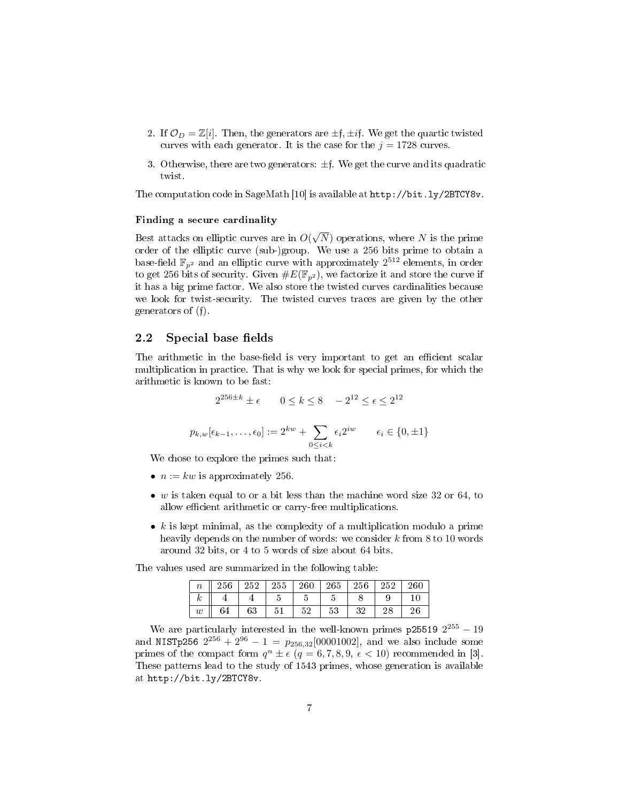- 2. If  $\mathcal{O}_D = \mathbb{Z}[i]$ . Then, the generators are  $\pm \mathfrak{f}, \pm i\mathfrak{f}$ . We get the quartic twisted curves with each generator. It is the case for the  $j = 1728$  curves.
- 3. Otherwise, there are two generators:  $\pm$ f. We get the curve and its quadratic twist.

The computation code in SageMath [\[10\]](#page-13-1) is available at [http://bit.ly/2BTCY8v.](http://bit.ly/2BTCY8v)

#### Finding a secure cardinality

Best attacks on elliptic curves are in O( √  $(N)$  operations, where N is the prime order of the elliptic curve (sub-)group. We use a 256 bits prime to obtain a base-field  $\mathbb{F}_{p^2}$  and an elliptic curve with approximately  $2^{512}$  elements, in order to get 256 bits of security. Given  $\#E(\mathbb{F}_{p^2})$ , we factorize it and store the curve if it has a big prime factor. We also store the twisted curves cardinalities because we look for twist-security. The twisted curves traces are given by the other generators of (f).

#### 2.2 Special base fields

The arithmetic in the base-field is very important to get an efficient scalar multiplication in practice. That is why we look for special primes, for which the arithmetic is known to be fast:

$$
2^{256 \pm k} \pm \epsilon \qquad 0 \le k \le 8 \quad -2^{12} \le \epsilon \le 2^{12}
$$

$$
p_{k,w}[\epsilon_{k-1}, \dots, \epsilon_0] := 2^{kw} + \sum_{0 \le i < k} \epsilon_i 2^{iw} \qquad \epsilon_i \in \{0, \pm 1\}
$$

We chose to explore the primes such that:

- $n := kw$  is approximately 256.
- w is taken equal to or a bit less than the machine word size 32 or 64, to allow efficient arithmetic or carry-free multiplications.
- $k$  is kept minimal, as the complexity of a multiplication modulo a prime heavily depends on the number of words: we consider  $k$  from  $8$  to  $10$  words around 32 bits, or 4 to 5 words of size about 64 bits.

The values used are summarized in the following table:

| $\boldsymbol{n}$ | 256 | 252 | $255\,$        | 260       | 265 | 256      | 252 | 260 |
|------------------|-----|-----|----------------|-----------|-----|----------|-----|-----|
| r                |     |     |                | -         |     |          |     |     |
| $\boldsymbol{w}$ | 04  | 63  | . .<br>п<br>υı | ≍ ດ<br>ບ∠ | 53  | າດ<br>υa |     | 26  |

We are particularly interested in the well-known primes  $p255192^{255} - 19$ and NISTp256  $2^{256} + 2^{96} - 1 = p_{256,32}$ [00001002], and we also include some primes of the compact form  $q^n \pm \epsilon$   $(q = 6, 7, 8, 9, \epsilon < 10)$  recommended in [\[3\]](#page-12-4). These patterns lead to the study of 1543 primes, whose generation is available at [http://bit.ly/2BTCY8v.](http://bit.ly/2BTCY8v)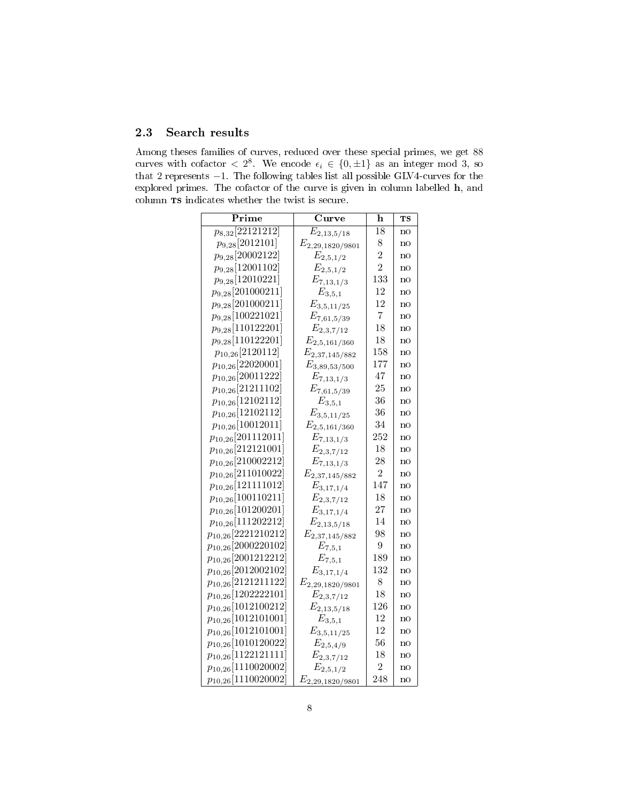## 2.3 Search results

Among theses families of curves, reduced over these special primes, we get 88 curves with cofactor  $\langle 2^8, 1 \rangle$  we encode  $\epsilon_i \in \{0, \pm 1\}$  as an integer mod 3, so that 2 represents −1. The following tables list all possible GLV4-curves for the explored primes. The cofactor of the curve is given in column labelled h, and column $\operatorname{\textbf{TS}}$  indicates whether the twist is secure.

| ${\rm Prime}$           | $\overline{\text{C}}$ urve | h                | TS |
|-------------------------|----------------------------|------------------|----|
| $p_{8,32}$ [22121212]   | $E_{2,13,5/18}$            | $\overline{1}8$  | no |
| $p_{9,28}[2012101]$     | $E_{2,29,1820/9801}$       | 8                | no |
| $p_{9,28}$ [20002122]   | $E_{2,5,1/2}$              | $\overline{2}$   | no |
| $p_{9,28}[12001102]$    | $E_{2,5,1/2}$              | $\overline{2}$   | no |
| $p_{9,28}[12010221]$    | $E_{7,13,1/3}$             | 133              | no |
| $p_{9,28}[201000211]$   | $E_{3,5,1}$                | 12               | no |
| $p_{9,28}[201000211]$   | $E_{3,5,11/25}$            | 12               | no |
| $p_{9,28}[100221021]$   | $E_{7,61,5/39}$            | $\overline{7}$   | no |
| $p_{9,28}[110122201]$   | $E_{2,3,7/12}$             | 18               | no |
| $p_{9,28}[110122201]$   | $E_{2,5,161/360}$          | 18               | no |
| $p_{10,26}[2120112]$    | $E_{2,37,145/882}$         | 158              | no |
| $p_{10,26}[22020001]$   | $E_{3,89,53/500}$          | 177              | no |
| $p_{10,26}[20011222]$   | $E_{7,13,1/3}$             | 47               | no |
| $p_{10,26}[21211102]$   | $E_{7,61,5/39}$            | 25               | no |
| $p_{10,26}[12102112]$   | $E_{3,5,1}$                | 36               | no |
| $p_{10,26}[12102112]$   | $E_{3,5,11/25}$            | 36               | no |
| $p_{10,26}[10012011]$   | $E_{2,5,161/360}$          | 34               | no |
| $p_{10,26}[201112011]$  | $E_{7,13,1/3}$             | 252              | no |
| $p_{10,26}[212121001]$  | $E_{2,3,7/12}$             | 18               | no |
| $p_{10,26}[210002212]$  | $E_{7,13,1/3}$             | 28               | no |
| $p_{10,26}[211010022]$  | $E_{2,37,145/882}$         | $\overline{2}$   | no |
| $p_{10,26}[121111012]$  | $E_{3,17,1/4}$             | 147              | no |
| $p_{10,26}[100110211]$  | $E_{2,3,7/12}$             | 18               | no |
| $p_{10,26}[101200201]$  | $E_{3,17,1/4}$             | 27               | no |
| $p_{10,26}[111202212]$  | $E_{2,13,5/18}$            | 14               | no |
| $p_{10,26}[2221210212]$ | $E_{2,37,145/882}$         | 98               | no |
| $p_{10,26}[2000220102]$ | $E_{7,5,1}$                | $\boldsymbol{9}$ | no |
| $p_{10,26}[2001212212]$ | $E_{7,5,1}$                | 189              | no |
| $p_{10,26}[2012002102]$ | $E_{3,17,1/4}$             | 132              | no |
| $p_{10,26}[2121211122]$ | $E_{2,29,1820/9801}$       | 8                | no |
| $p_{10,26}[1202222101]$ | $E_{2,3,7/12}$             | 18               | no |
| $p_{10,26}[1012100212]$ | $E_{2,13,5/18}$            | 126              | no |
| $p_{10,26}[1012101001]$ | $E_{3,5,1}$                | 12               | no |
| $p_{10,26}[1012101001]$ | $E_{3,5,11/25}$            | 12               | no |
| $p_{10,26}[1010120022]$ | $E_{2,5,4/9}$              | 56               | no |
| $p_{10,26}[1122121111]$ | $E_{2,3,7/12}$             | 18               | no |
| $p_{10,26}[1110020002]$ | $E_{2,5,1/2}$              | $\overline{2}$   | no |
| $p_{10,26}[1110020002]$ | $E_{2,29,1820/9801}$       | 248              | no |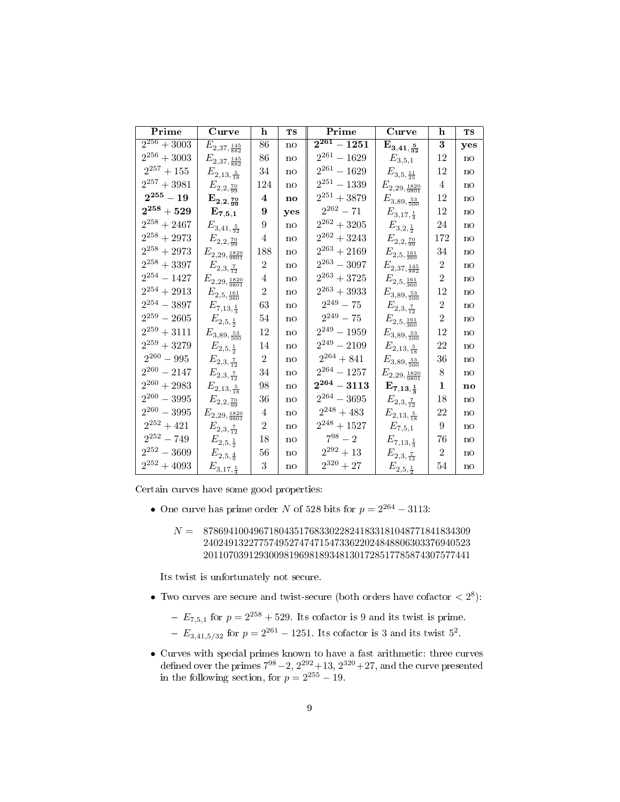| $\overline{\text{Prime}}$ | <b>Curve</b>                     | h              | <b>TS</b>    | $\overline{\mathrm{Prime}}$          | $\overline{\mathbf{C}}$ urve     | $\mathbf h$    | TS  |
|---------------------------|----------------------------------|----------------|--------------|--------------------------------------|----------------------------------|----------------|-----|
| $\overline{2^{256}+30}03$ | $E_{2,37,\frac{145}{882}}$       | 86             | no           | $\overline{2^{261}-1251}$            | $\mathrm{E}_{3,41,\frac{5}{32}}$ | 3              | yes |
| $2^{256} \div 3003$       | $E_{2,37,\frac{145}{882}}$       | 86             | no           | $2^{261}-1629\,$                     | $\mathcal{E}_{3,5,1}$            | 12             | no  |
| $2^{257}+155\,$           | $E_{2,13,\frac{5}{18}}$          | 34             | no           | $2^{261}-1629\,$                     | $E_{3,5,\frac{11}{25}}$          | 12             | no  |
| $2^{257}+3981\,$          | $E_{2,2,\frac{70}{99}}$          | 124            | $\mathbf{n}$ | $2^{251}-1339\,$                     | $E_{2,29,\frac{1820}{9801}}$     | 4              | no  |
| $\mathbf{2^{255}-19}$     | $\mathrm{E}_{2,2,\frac{70}{99}}$ | $\bf{4}$       | no           | $2^{251}+3879\,$                     | $E_{3,89,\frac{53}{500}}$        | 12             | no  |
| $\mathbf{2^{258}+529}$    | $\mathbf{E}_{7,5,1}$             | 9              | yes          | $2^{262}-71\,$                       | $E_{3,17,\frac{1}{4}}$           | 12             | no  |
| $2^{258}+2467\,$          | $E_{3,41,\frac{5}{32}}$          | 9              | no           | $\ensuremath{2^{262}}\xspace + 3205$ | $E_{3,2,\frac{1}{2}}$            | 24             | no  |
| $2^{258}+2973\,$          | $E_{2,2,\frac{70}{99}}$          | 4              | no           | $\mathbf{2}^{262} + 3243$            | $E_{2,2,\frac{70}{99}}$          | 172            | no  |
| $2^{258}+2973\,$          | $E_{2,29,\frac{1820}{9801}}$     | 188            | no           | $2^{263}+2169\,$                     | $E_{2,5,\frac{161}{360}}$        | 34             | no  |
| $2^{258}+3397\,$          | $E_{2,3,\frac{7}{12}}$           | $\overline{2}$ | no           | $2^{263}-3097\,$                     | $E_{2,37,\frac{145}{882}}$       | $\overline{2}$ | no  |
| $2^{254}-1427\,$          | $E_{2,29,\frac{1820}{9801}}$     | 4              | $\mathbf{n}$ | $2^{263}+3725\,$                     | $E_{2,5,\frac{161}{360}}$        | $\overline{2}$ | no  |
| $2^{254}+2913\,$          | $E_{2,5,\frac{161}{360}}$        | $\overline{2}$ | no           | $\mathbf{2}^{263} + 3933$            | $E_{3,89,\frac{53}{500}}$        | 12             | no  |
| $2^{254}-3897\,$          | $E_{7,13,\frac{1}{3}}$           | 63             | no           | $2^{249}-75\,$                       | $E_{2,3,\frac{7}{12}}$           | $\overline{2}$ | no  |
| $2^{\mathbf{259}}-2605$   | $E_{2,5,\frac12}$                | 54             | no           | $2^{249}-75\,$                       | $E_{2,5,\frac{161}{360}}$        | $\overline{2}$ | no  |
| $2^{259}+3111\,$          | $E_{3,89,\frac{53}{500}}$        | 12             | no           | $2^{249}-1959\,$                     | $E_{3,89,\frac{53}{500}}$        | 12             | no  |
| $2^{259}+3279\,$          | $E_{2,5,\frac12}$                | 14             | no           | $2^{249} - 2109\,$                   | $E_{2,13,\frac{5}{18}}$          | 22             | no  |
| $2^{260}-995\,$           | $E_{2,3,\frac{7}{12}}$           | $\overline{2}$ | no           | $2^{264}+841\,$                      | $E_{3,89,\frac{53}{500}}$        | 36             | no  |
| $2^{260}-2147\,$          | $E_{2,3,\frac{7}{12}}$           | 34             | $\mathbf{n}$ | $2^{264} - 1257\,$                   | $E_{2,29,\frac{1820}{9801}}$     | 8              | no  |
| $\mathbf{2}^{260} + 2983$ | $E_{2,13,\frac{5}{18}}$          | 98             | no           | $2^{264} - 3113$                     | $\mathbf{E}_{7,13,\frac{1}{3}}$  | $\mathbf 1$    | no  |
| $2^{260}-3995\,$          | $E_{2,2,\frac{70}{99}}$          | 36             | no           | $2^{264}-3695\,$                     | $E_{2,3,\frac{7}{12}}$           | 18             | no  |
| $2^{260}-3995\,$          | $E_{2,29,\frac{1820}{9801}}$     | 4              | no           | $2^{248}+483\,$                      | $E_{2,13,\frac{5}{18}}$          | 22             | no  |
| $2^{252}+421\,$           | $E_{2,3,\frac{7}{12}}$           | $\overline{2}$ | no           | $2^{248} + 1527\,$                   | $\mathcal{E}_{7,5,1}$            | 9              | no  |
| $2^{252}-749\,$           | $E_{2,5,\frac{1}{2}}$            | 18             | $\mathbf{n}$ | $7^{98} - 2$                         | $E_{7,13,\frac{1}{3}}$           | 76             | no  |
| $2^{252}-3609\,$          | $E_{2,5,\frac{4}{9}}$            | 56             | no           | $2^{292}+13\,$                       | $E_{2,3,\frac{7}{12}}$           | $\overline{2}$ | no  |
| $\mathbf{2}^{252} + 4093$ | $E_{3,17,\frac{1}{4}}$           | 3              | no           | $2^{320}+27\,$                       | $E_{2,5,\frac{1}{2}}$            | 54             | no  |

Certain curves have some good properties:

- One curve has prime order N of 528 bits for  $p = 2^{264} 3113$ :
	- $N = 87869410049671804351768330228241833181048771841834309$

Its twist is unfortunately not secure.

- Two curves are secure and twist-secure (both orders have cofactor  $\langle 2^8 \rangle$ :
	- $E_{7,5,1}$  for  $p = 2^{258} + 529$ . Its cofactor is 9 and its twist is prime.
	- $-E_{3,41,5/32}$  for  $p = 2^{261} 1251$ . Its cofactor is 3 and its twist  $5^2$ .
- Curves with special primes known to have a fast arithmetic: three curves defined over the primes  $7^{98} - 2$ ,  $2^{292} + 13$ ,  $2^{320} + 27$ , and the curve presented in the following section, for  $p = 2^{255} - 19$ .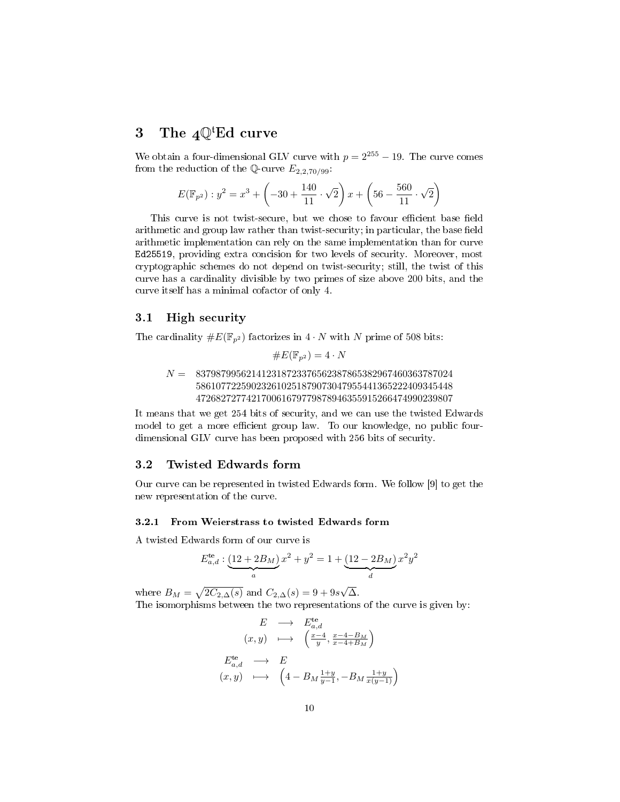## 3 The  $4\mathbb{Q}^t$ Ed curve

We obtain a four-dimensional GLV curve with  $p = 2^{255} - 19$ . The curve comes from the reduction of the Q-curve  $E_{2,2,70/99}$ :

$$
E(\mathbb{F}_{p^2}): y^2 = x^3 + \left(-30 + \frac{140}{11} \cdot \sqrt{2}\right) x + \left(56 - \frac{560}{11} \cdot \sqrt{2}\right)
$$

This curve is not twist-secure, but we chose to favour efficient base field arithmetic and group law rather than twist-security; in particular, the base field arithmetic implementation can rely on the same implementation than for curve Ed25519, providing extra concision for two levels of security. Moreover, most cryptographic schemes do not depend on twist-security; still, the twist of this curve has a cardinality divisible by two primes of size above 200 bits, and the curve itself has a minimal cofactor of only 4.

## 3.1 High security

The cardinality  $\#E(\mathbb{F}_{n^2})$  factorizes in  $4 \cdot N$  with N prime of 508 bits:

$$
\#E(\mathbb{F}_{p^2}) = 4 \cdot N
$$

## $N = 837987995621412318723376562387865382967460363787024$ 586107722590232610251879073047955441365222409345448 472682727742170061679779878946355915266474990239807

It means that we get 254 bits of security, and we can use the twisted Edwards model to get a more efficient group law. To our knowledge, no public fourdimensional GLV curve has been proposed with 256 bits of security.

## 3.2 Twisted Edwards form

Our curve can be represented in twisted Edwards form. We follow [\[9\]](#page-13-0) to get the new representation of the curve.

## 3.2.1 From Weierstrass to twisted Edwards form

A twisted Edwards form of our curve is

$$
E_{a,d}^{\text{te}}: \underbrace{(12+2B_M)}_{a} x^2 + y^2 = 1 + \underbrace{(12-2B_M)}_{d} x^2 y^2
$$

where  $B_M = \sqrt{2C_{2,\Delta}(s)}$  and  $C_{2,\Delta}(s) = 9 + 9s$ √ ∆. The isomorphisms between the two representations of the curve is given by:

$$
E \longrightarrow E_{a,d}^{\text{te}}
$$
  
\n
$$
(x, y) \longrightarrow \left(\frac{x-4}{y}, \frac{x-4-B_M}{x-4+B_M}\right)
$$
  
\n
$$
E_{a,d}^{\text{te}} \longrightarrow E
$$
  
\n
$$
(x, y) \longrightarrow \left(4 - B_M \frac{1+y}{y-1}, -B_M \frac{1+y}{x(y-1)}\right)
$$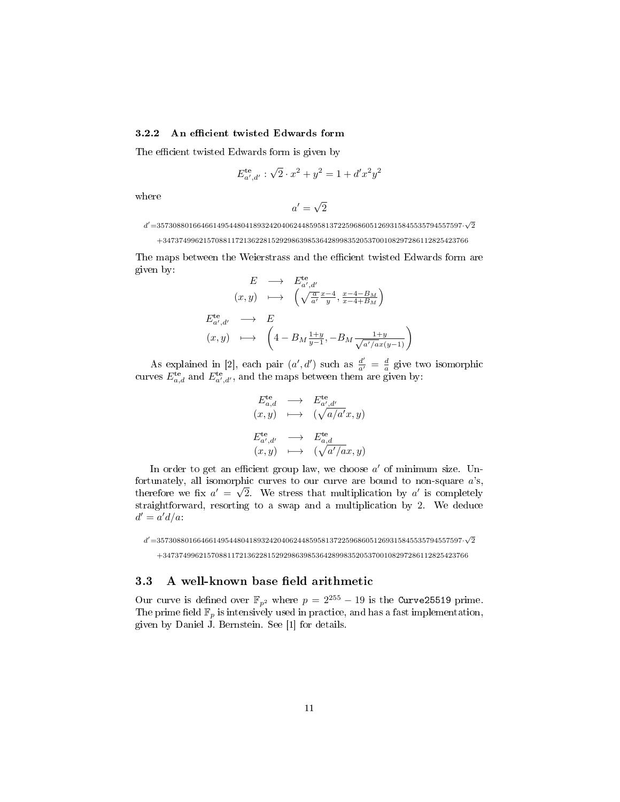#### 3.2.2 An efficient twisted Edwards form

The efficient twisted Edwards form is given by

$$
E_{a',d'}^{\text{te}} : \sqrt{2} \cdot x^2 + y^2 = 1 + d'x^2y^2
$$

where

$$
a'=\sqrt{2}
$$

 $d'{=}3573088016646614954480418932420406244859581372259686051269315845535794557597\cdot \sqrt{2}$ 

 $+3473749962157088117213622815292986398536428998352053700108297286112825423766$ 

The maps between the Weierstrass and the efficient twisted Edwards form are given by:

$$
E \longrightarrow E_{a',d'}^{\text{te}} \qquad (x,y) \longrightarrow \left( \sqrt{\frac{a}{a'}} \frac{x-4}{y}, \frac{x-4-B_M}{x-4+B_M} \right)
$$
\n
$$
E_{a',d'}^{\text{te}} \longrightarrow E
$$
\n
$$
(x,y) \longrightarrow \left( 4 - B_M \frac{1+y}{y-1}, -B_M \frac{1+y}{\sqrt{a'/ax}(y-1)} \right)
$$

As explained in [\[2\]](#page-12-5), each pair  $(a', d')$  such as  $\frac{d'}{a'} = \frac{d}{a}$  give two isomorphic curves  $E_{a,d}^{\text{te}}$  and  $E_{a',d'}^{\text{te}}$ , and the maps between them are given by:

$$
E_{a,d}^{\text{te}} \longrightarrow E_{a',d'}^{\text{te}} (x,y) \longmapsto (\sqrt{a/a'}x, y) E_{a',d'}^{\text{te}} \longrightarrow E_{a,d}^{\text{te}} (x,y) \longmapsto (\sqrt{a'/ax}, y)
$$

In order to get an efficient group law, we choose  $a'$  of minimum size. Unfortunately, all isomorphic curves to our curve are bound to non-square  $a$ 's, therefore we fix  $a' = \sqrt{2}$ . We stress that multiplication by a' is completely straightforward, resorting to a swap and a multiplication by 2. We deduce  $d' = a'd/a$ :

 $d'{=}3573088016646614954480418932420406244859581372259686051269315845535794557597\cdot \sqrt{2}$ 

+3473749962157088117213622815292986398536428998352053700108297286112825423766

## 3.3 A well-known base field arithmetic

Our curve is defined over  $\mathbb{F}_{p^2}$  where  $p = 2^{255} - 19$  is the Curve25519 prime. The prime field  $\mathbb{F}_p$  is intensively used in practice, and has a fast implementation, given by Daniel J. Bernstein. See [\[1\]](#page-12-6) for details.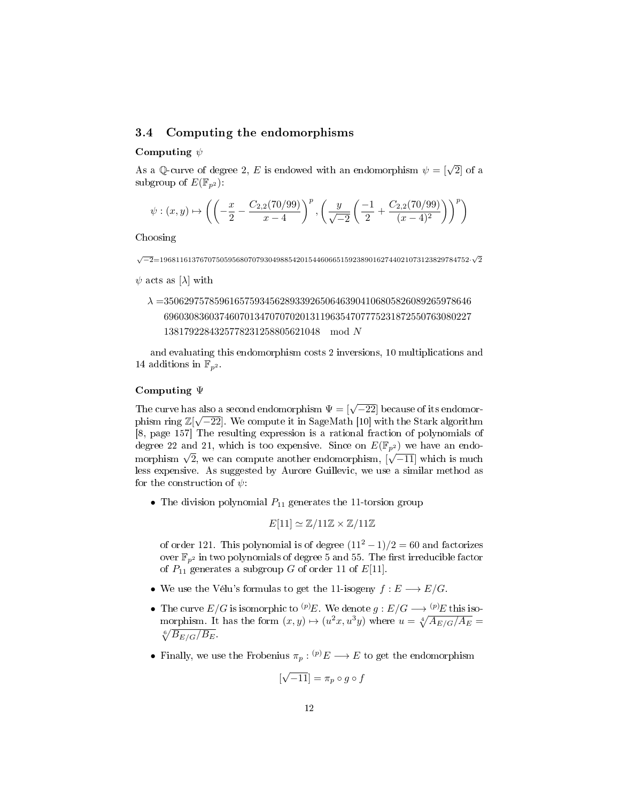## 3.4 Computing the endomorphisms

## Computing  $\psi$

As a Q-curve of degree 2, E is endowed with an endomorphism  $\psi = [\sqrt{2}]$  of a subgroup of  $E(\mathbb{F}_{p^2})$ :

$$
\psi: (x,y) \mapsto \left( \left(-\frac{x}{2} - \frac{C_{2,2}(70/99)}{x-4}\right)^p, \left(\frac{y}{\sqrt{-2}}\left(\frac{-1}{2} + \frac{C_{2,2}(70/99)}{(x-4)^2}\right)\right)^p \right)
$$

Choosing

√ −2=19681161376707505956807079304988542015446066515923890162744021073123829784752· √ 2

 $\psi$  acts as [ $\lambda$ ] with

 $\lambda =$ 3506297578596165759345628933926506463904106805826089265978646 6960308360374607013470707020131196354707775231872550763080227 1381792284325778231258805621048 mod N

and evaluating this endomorphism costs 2 inversions, 10 multiplications and 14 additions in  $\mathbb{F}_{p^2}$ .

## Computing Ψ

The curve has also a second endomorphism  $\Psi = [\sqrt{-22}]$  because of its endomorphism phism ring  $\mathbb{Z}[\sqrt{-22}]$ . We compute it in SageMath [\[10\]](#page-13-1) with the Stark algorithm [\[8,](#page-13-2) page 157] The resulting expression is a rational fraction of polynomials of degree 22 and 21, which is too expensive. Since on  $E(\mathbb{F}_p)$  we have an endodegree 22 and 21, which is too expensive. Since on  $E(\mathbb{F}_{p^2})$  we have an endomorphism  $\sqrt{2}$ , we can compute another endomorphism,  $[\sqrt{-11}]$  which is much less expensive. As suggested by Aurore Guillevic, we use a similar method as for the construction of  $\psi$ :

• The division polynomial  $P_{11}$  generates the 11-torsion group

$$
E[11] \simeq \mathbb{Z}/11\mathbb{Z} \times \mathbb{Z}/11\mathbb{Z}
$$

of order 121. This polynomial is of degree  $(11<sup>2</sup> - 1)/2 = 60$  and factorizes over  $\mathbb{F}_{p^2}$  in two polynomials of degree 5 and 55. The first irreducible factor of  $P_{11}$  generates a subgroup G of order 11 of  $E[11]$ .

- We use the Vélu's formulas to get the 11-isogeny  $f: E \longrightarrow E/G$ .
- The curve  $E/G$  is isomorphic to  ${}^{(p)}E$ . We denote  $g: E/G \longrightarrow {}^{(p)}E$  this isomorphism. It has the form  $(x, y) \mapsto (u^2x, u^3y)$  where  $u = \sqrt[4]{A_{E/G}/A_E} =$  $\sqrt[6]{B_{E/G}/B_{E}}$ .
- Finally, we use the Frobenius  $\pi_p$ :  $^{(p)}E \longrightarrow E$  to get the endomorphism

$$
[\sqrt{-11}] = \pi_p \circ g \circ f
$$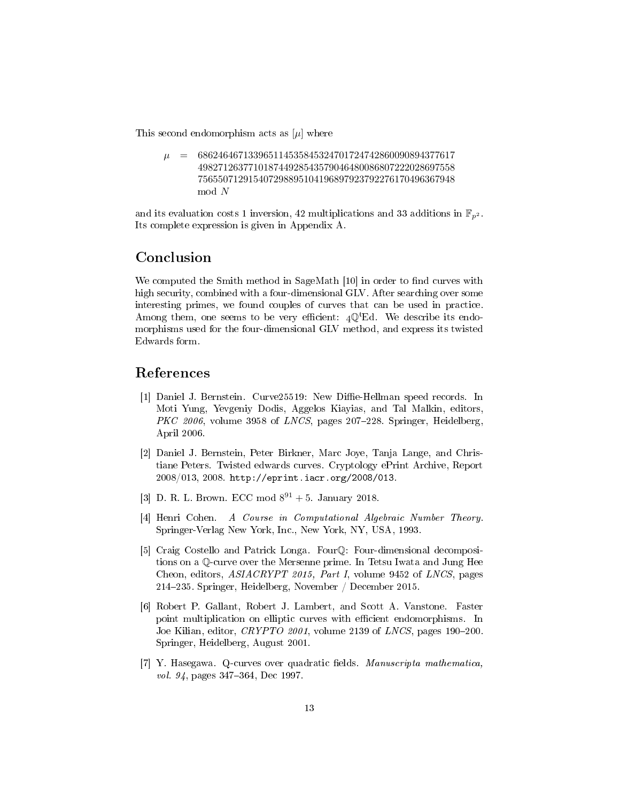This second endomorphism acts as  $[\mu]$  where

 $\mu = 686246467133965114535845324701724742860090894377617$ 498271263771018744928543579046480086807222028697558 756550712915407298895104196897923792276170496367948 mod N

and its evaluation costs 1 inversion, 42 multiplications and 33 additions in  $\mathbb{F}_{n^2}$ . Its complete expression is given in Appendix [A.](#page-14-0)

## Conclusion

We computed the Smith method in SageMath  $[10]$  in order to find curves with high security, combined with a four-dimensional GLV. After searching over some interesting primes, we found couples of curves that can be used in practice. Among them, one seems to be very efficient:  $4\mathbb{Q}^t$ Ed. We describe its endomorphisms used for the four-dimensional GLV method, and express its twisted Edwards form.

## References

- <span id="page-12-6"></span>[1] Daniel J. Bernstein. Curve25519: New Diffie-Hellman speed records. In Moti Yung, Yevgeniy Dodis, Aggelos Kiayias, and Tal Malkin, editors,  $PKC 2006$ , volume 3958 of  $LNCS$ , pages 207-228. Springer, Heidelberg, April 2006.
- <span id="page-12-5"></span>[2] Daniel J. Bernstein, Peter Birkner, Marc Joye, Tanja Lange, and Christiane Peters. Twisted edwards curves. Cryptology ePrint Archive, Report 2008/013, 2008. [http://eprint.iacr.org/2008/013.](http://eprint.iacr.org/2008/013)
- <span id="page-12-4"></span>[3] D. R. L. Brown. ECC mod  $8^{91} + 5$ . January 2018.
- <span id="page-12-3"></span>[4] Henri Cohen. A Course in Computational Algebraic Number Theory. Springer-Verlag New York, Inc., New York, NY, USA, 1993.
- <span id="page-12-0"></span>[5] Craig Costello and Patrick Longa. FourQ: Four-dimensional decompositions on a Q-curve over the Mersenne prime. In Tetsu Iwata and Jung Hee Cheon, editors, *ASIACRYPT 2015, Part I*, volume 9452 of *LNCS*, pages 214235. Springer, Heidelberg, November / December 2015.
- <span id="page-12-1"></span>[6] Robert P. Gallant, Robert J. Lambert, and Scott A. Vanstone. Faster point multiplication on elliptic curves with efficient endomorphisms. In Joe Kilian, editor,  $CRYPTO$  2001, volume 2139 of LNCS, pages 190-200. Springer, Heidelberg, August 2001.
- <span id="page-12-2"></span>[7] Y. Hasegawa. Q-curves over quadratic fields. Manuscripta mathematica, vol. 94, pages 347–364, Dec 1997.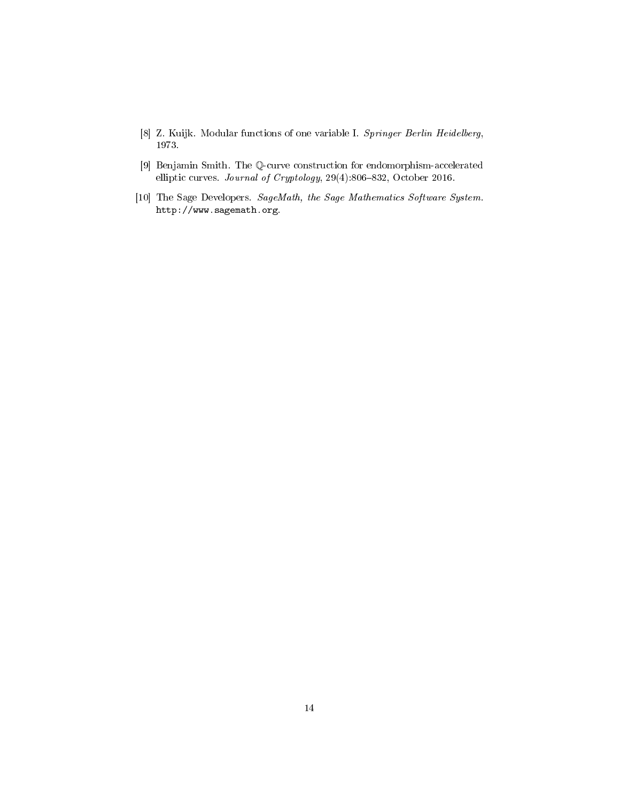- <span id="page-13-2"></span>[8] Z. Kuijk. Modular functions of one variable I. Springer Berlin Heidelberg, 1973.
- <span id="page-13-0"></span>[9] Benjamin Smith. The Q-curve construction for endomorphism-accelerated elliptic curves. Journal of Cryptology,  $29(4):806-832$ , October 2016.
- <span id="page-13-1"></span>[10] The Sage Developers. SageMath, the Sage Mathematics Software System. http://www.sagemath.org.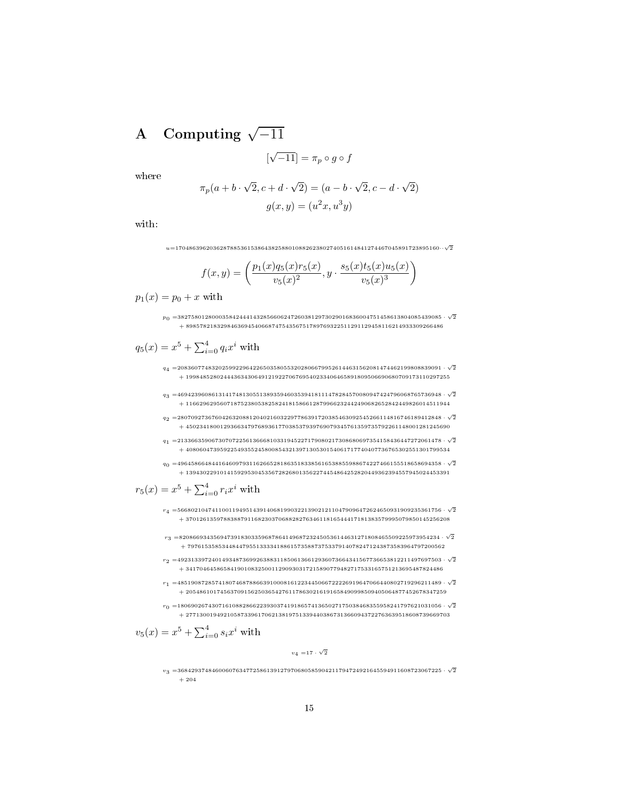# <span id="page-14-0"></span>A Computing  $\sqrt{-11}$

$$
[\sqrt{-11}] = \pi_p \circ g \circ f
$$

where

$$
\pi_p(a+b\cdot\sqrt{2},c+d\cdot\sqrt{2}) = (a-b\cdot\sqrt{2},c-d\cdot\sqrt{2})
$$

$$
g(x,y) = (u^2x, u^3y)
$$

with:

 $u{=}17048639620362878853615386438258801088262380274051614841274467045891723895160\cdots\sqrt{2}$ 

$$
f(x,y) = \left(\frac{p_1(x)q_5(x)r_5(x)}{v_5(x)^2}, y \cdot \frac{s_5(x)t_5(x)u_5(x)}{v_5(x)^3}\right)
$$

 $p_1(x) = p_0 + x$  with

 $\overline{p}_0$  =38275801280003584244414328566062472603812973029016836004751458613804085439085  $\cdot$   $\sqrt{2}$  $+ 898578218329846369454066874754356751789769322511291129458116214933309266486$ 

$$
q_5(x) = x^5 + \sum_{i=0}^4 q_i x^i
$$
 with

- $\begin{aligned} q_4=& 20836077483202599229642265035805532028066799526144631562081474462199808839091\cdot\sqrt{2}\end{aligned}$  $+\ 19984852802444363430649121922706769540233406465891809506690680709173110297255$
- $\begin{aligned} q_3 = & 46942396086131417481305513893594603539418111478284570080947424796068765736948 \cdot \sqrt{2} \end{aligned}$  $+\ 11662962956071875238053825824181586612879966232442490682652842449826014511944$
- $\begin{aligned} q_2=& 28070927367604263208812040216032297786391720385463092545266114816746189412848\cdot\sqrt{2} \end{aligned}$ + 45023418001293663479768936177038537939769079345761359735792261148001281245690
- $q_{1} = \! 21336635906730707225613666810331945227179080217308680697354158436447272061478\cdot \sqrt{2}$  $+\ 40806047395922549355245800854321397130530154061717740407736765302551301799534$
- $q_0 =$ 49645866484416460979311626652818635183385616538855988674227466155518658694358  $\cdot$   $\sqrt{2}$  $+\ 13943022910141592953045356728268013562274454864252820449362394557945024453391$

$$
r_5(x) = x^5 + \sum_{i=0}^4 r_i x^i
$$
 with

- $r_{4}$  =56680210474110011949514391406819903221390212110479096472624650931909235361756  $\cdot$   $\sqrt{2}$  $+\ 37012613597883887911682303706882827634611816544417181383579995079850145256208$
- $r_{3}$  =8208669343569473918303359687864149687232450536144631271808465509225973954234  $\cdot$   $\sqrt{2}$ + 797615358534484479551333341886157358873753379140782471243873583964797200562
- $r_2 =$ 49231339724014934873699263883118506136612936073664341567736653812211497697503  $\cdot$   $\sqrt{2}$  $+\ 341704645865841901083250011290930317215890779482717533165751213695487824486$
- $r_1 =$ 48519087285741807468788663910008161223445066722226919647066440802719296211489  $\cdot$   $\sqrt{2}$ + 2054861017456370915625036542761178630216191658490998509405064877452678347259
- $r_0 =$ 18069026743071610882866223930374191865741365027175038468355958241797621031056  $\cdot$   $\sqrt{2}$  $+\ 27713001949210587339617062138197513394403867313660943722763639518608739669703$

$$
v_5(x) = x^5 + \sum_{i=0}^4 s_i x^i
$$
 with

 $v_4 = 17 \cdot \sqrt{2}$ 

 $\displaystyle v_3$  =36842937484600607634772586139127970680585904211794724921645594911608723067225  $\displaystyle\cdot$   $\sqrt{2}$  $+ 204$